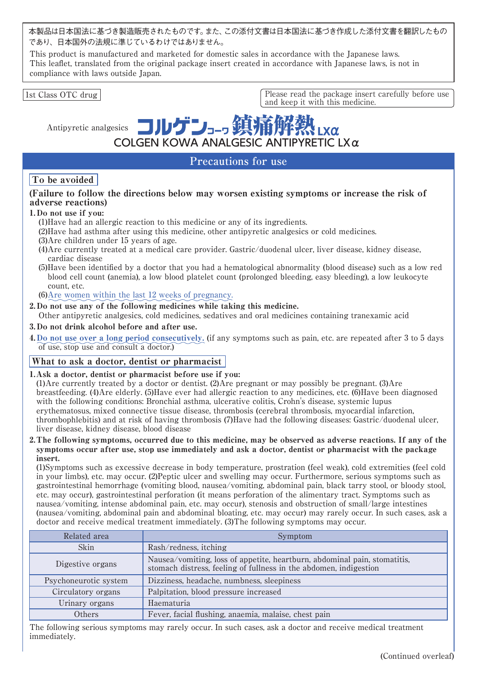本製品は日本国法に基づき製造販売されたものです。また、この添付文書は日本国法に基づき作成した添付文書を翻訳したもの であり、日本国外の法規に準じているわけではありません。

This product is manufactured and marketed for domestic sales in accordance with the Japanese laws. This leaflet, translated from the original package insert created in accordance with Japanese laws, is not in compliance with laws outside Japan.

Antipyretic analgesics

1st Class OTC drug | Please read the package insert carefully before use and keep it with this medicine.

 $X\alpha$ 

# COLGEN KOWA ANALGESIC ANTIPYRETIC LXα **Precautions for use**

# To be avoided

# (Failure to follow the directions below may worsen existing symptoms or increase the risk of adverse reactions)

# 1. Do not use if you:

(1)Have had an allergic reaction to this medicine or any of its ingredients.

コルケンコッ

- (2)Have had asthma after using this medicine, other antipyretic analgesics or cold medicines.
- (3)Are children under 15 years of age.
- (4)Are currently treated at a medical care provider. Gastric/duodenal ulcer, liver disease, kidney disease, cardiac disease
- (5)Have been identified by a doctor that you had a hematological abnormality (blood disease) such as a low red blood cell count (anemia), a low blood platelet count (prolonged bleeding, easy bleeding), a low leukocyte count, etc.

(6)Are women within the last 12 weeks of pregnancy.

2. Do not use any of the following medicines while taking this medicine. Other antipyretic analgesics, cold medicines, sedatives and oral medicines containing tranexamic acid

## 3. Do not drink alcohol before and after use.

4. Do not use over a long period consecutively. (if any symptoms such as pain, etc. are repeated after 3 to 5 days of use, stop use and consult a doctor.)

# What to ask a doctor, dentist or pharmacist

#### 1.Ask a doctor, dentist or pharmacist before use if you:

(1)Are currently treated by a doctor or dentist. (2)Are pregnant or may possibly be pregnant. (3)Are breastfeeding. (4)Are elderly. (5)Have ever had allergic reaction to any medicines, etc. (6)Have been diagnosed with the following conditions: Bronchial asthma, ulcerative colitis, Crohn's disease, systemic lupus erythematosus, mixed connective tissue disease, thrombosis (cerebral thrombosis, myocardial infarction, thrombophlebitis) and at risk of having thrombosis (7)Have had the following diseases: Gastric/duodenal ulcer, liver disease, kidney disease, blood disease

2.The following symptoms, occurred due to this medicine, may be observed as adverse reactions. If any of the symptoms occur after use, stop use immediately and ask a doctor, dentist or pharmacist with the package insert.

(1)Symptoms such as excessive decrease in body temperature, prostration (feel weak), cold extremities (feel cold in your limbs), etc. may occur. (2)Peptic ulcer and swelling may occur. Furthermore, serious symptoms such as gastrointestinal hemorrhage (vomiting blood, nausea/vomiting, abdominal pain, black tarry stool, or bloody stool, etc. may occur), gastrointestinal perforation (it means perforation of the alimentary tract. Symptoms such as nausea/vomiting, intense abdominal pain, etc. may occur), stenosis and obstruction of small/large intestines (nausea/vomiting, abdominal pain and abdominal bloating, etc. may occur) may rarely occur. In such cases, ask a doctor and receive medical treatment immediately. (3)The following symptoms may occur.

| Related area          | Symptom                                                                                                                                        |  |  |
|-----------------------|------------------------------------------------------------------------------------------------------------------------------------------------|--|--|
| <b>Skin</b>           | Rash/redness, itching                                                                                                                          |  |  |
| Digestive organs      | Nausea/vomiting, loss of appetite, heartburn, abdominal pain, stomatitis,<br>stomach distress, feeling of fullness in the abdomen, indigestion |  |  |
| Psychoneurotic system | Dizziness, headache, numbness, sleepiness                                                                                                      |  |  |
| Circulatory organs    | Palpitation, blood pressure increased                                                                                                          |  |  |
| Urinary organs        | Haematuria                                                                                                                                     |  |  |
| Others                | Fever, facial flushing, anaemia, malaise, chest pain                                                                                           |  |  |

The following serious symptoms may rarely occur. In such cases, ask a doctor and receive medical treatment immediately.